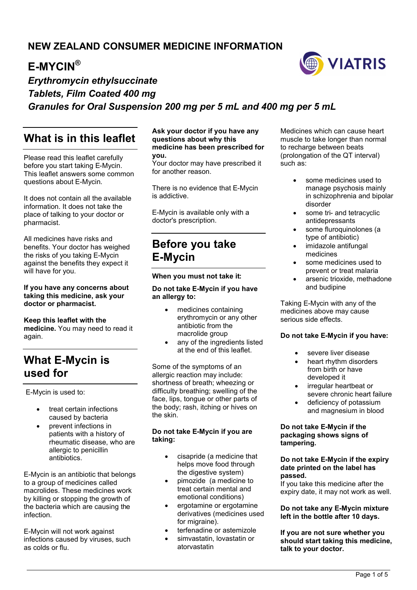## **NEW ZEALAND CONSUMER MEDICINE INFORMATION**

## **E-MYCIN®**



## *Erythromycin ethylsuccinate Tablets, Film Coated 400 mg Granules for Oral Suspension 200 mg per 5 mL and 400 mg per 5 mL*

## **What is in this leaflet**

Please read this leaflet carefully before you start taking E-Mycin. This leaflet answers some common questions about E-Mycin.

It does not contain all the available information. It does not take the place of talking to your doctor or pharmacist.

All medicines have risks and benefits. Your doctor has weighed the risks of you taking E-Mycin against the benefits they expect it will have for you.

#### **If you have any concerns about taking this medicine, ask your doctor or pharmacist.**

#### **Keep this leaflet with the**

**medicine.** You may need to read it again.

## **What E-Mycin is used for**

E-Mycin is used to:

- treat certain infections caused by bacteria
- prevent infections in patients with a history of rheumatic disease, who are allergic to penicillin antibiotics.

E-Mycin is an antibiotic that belongs to a group of medicines called macrolides. These medicines work by killing or stopping the growth of the bacteria which are causing the infection.

E-Mycin will not work against infections caused by viruses, such as colds or flu.

#### **Ask your doctor if you have any questions about why this medicine has been prescribed for you.**

Your doctor may have prescribed it for another reason.

There is no evidence that E-Mycin is addictive.

E-Mycin is available only with a doctor's prescription.

## **Before you take E-Mycin**

#### **When you must not take it:**

#### **Do not take E-Mycin if you have an allergy to:**

- medicines containing erythromycin or any other antibiotic from the macrolide group
- any of the ingredients listed at the end of this leaflet.

Some of the symptoms of an allergic reaction may include: shortness of breath; wheezing or difficulty breathing; swelling of the face, lips, tongue or other parts of the body; rash, itching or hives on the skin.

#### **Do not take E-Mycin if you are taking:**

- cisapride (a medicine that helps move food through the digestive system)
- pimozide (a medicine to treat certain mental and emotional conditions)
- ergotamine or ergotamine derivatives (medicines used for migraine).
- terfenadine or astemizole
- simvastatin, lovastatin or atorvastatin

Medicines which can cause heart muscle to take longer than normal to recharge between beats (prolongation of the QT interval) such as:

- some medicines used to manage psychosis mainly in schizophrenia and bipolar disorder
- some tri- and tetracyclic antidepressants
- some fluroquinolones (a type of antibiotic)
- imidazole antifungal medicines
- some medicines used to prevent or treat malaria
- arsenic trioxide, methadone and budipine

Taking E-Mycin with any of the medicines above may cause serious side effects.

#### **Do not take E-Mycin if you have:**

- severe liver disease
- heart rhythm disorders from birth or have developed it
- irregular heartbeat or severe chronic heart failure
- deficiency of potassium and magnesium in blood

#### **Do not take E-Mycin if the packaging shows signs of tampering.**

#### **Do not take E-Mycin if the expiry date printed on the label has passed.**

If you take this medicine after the expiry date, it may not work as well.

#### **Do not take any E-Mycin mixture left in the bottle after 10 days.**

**If you are not sure whether you should start taking this medicine, talk to your doctor.**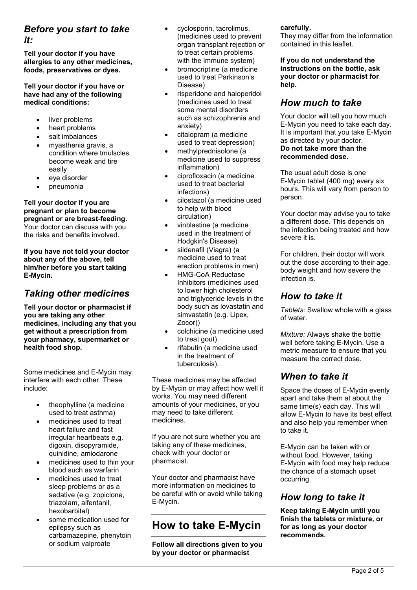# *Before you start to take*

*it:*

**Tell your doctor if you have allergies to any other medicines, foods, preservatives or dyes.**

#### **Tell your doctor if you have or have had any of the following medical conditions:**

- liver problems
- heart problems
- salt imbalances
- myasthenia gravis, a condition where tmulscles become weak and tire easily
- eye disorder
- pneumonia

#### **Tell your doctor if you are pregnant or plan to become pregnant or are breast-feeding.** Your doctor can discuss with you the risks and benefits involved.

**If you have not told your doctor about any of the above, tell him/her before you start taking E-Mycin.**

### *Taking other medicines*

**Tell your doctor or pharmacist if you are taking any other medicines, including any that you get without a prescription from your pharmacy, supermarket or health food shop.**

Some medicines and E-Mycin may interfere with each other. These include:

- theophylline (a medicine used to treat asthma)
- medicines used to treat heart failure and fast irregular heartbeats e.g. digoxin, disopyramide, quinidine, amiodarone
- medicines used to thin your blood such as warfarin
- medicines used to treat sleep problems or as a sedative (e.g. zopiclone, triazolam, alfentanil, hexobarbital)
- some medication used for epilepsy such as carbamazepine, phenytoin or sodium valproate
- cyclosporin, tacrolimus, (medicines used to prevent organ transplant rejection or to treat certain problems with the immune system)
- bromocriptine (a medicine used to treat Parkinson's Disease)
- risperidone and haloperidol (medicines used to treat some mental disorders such as schizophrenia and anxiety)
- citalopram (a medicine used to treat depression)
- methylprednisolone (a medicine used to suppress inflammation)
- ciprofloxacin (a medicine used to treat bacterial infections)
- cilostazol (a medicine used to help with blood circulation)
- vinblastine (a medicine used in the treatment of Hodgkin's Disease)
- sildenafil (Viagra) (a medicine used to treat erection problems in men)
- HMG-CoA Reductase Inhibitors (medicines used to lower high cholesterol and triglyceride levels in the body such as lovastatin and simvastatin (e.g. Lipex, Zocor))
- colchicine (a medicine used to treat gout)
- rifabutin (a medicine used in the treatment of tuberculosis).

These medicines may be affected by E-Mycin or may affect how well it works. You may need different amounts of your medicines, or you may need to take different medicines.

If you are not sure whether you are taking any of these medicines, check with your doctor or pharmacist.

Your doctor and pharmacist have more information on medicines to be careful with or avoid while taking E-Mycin.

# **How to take E-Mycin**

**Follow all directions given to you by your doctor or pharmacist** 

#### **carefully.**

They may differ from the information contained in this leaflet.

**If you do not understand the instructions on the bottle, ask your doctor or pharmacist for help.**

### *How much to take*

Your doctor will tell you how much E-Mycin you need to take each day. It is important that you take E-Mycin as directed by your doctor. **Do not take more than the recommended dose.**

The usual adult dose is one E-Mycin tablet (400 mg) every six hours. This will vary from person to person.

Your doctor may advise you to take a different dose. This depends on the infection being treated and how severe it is.

For children, their doctor will work out the dose according to their age, body weight and how severe the infection is.

### *How to take it*

*Tablets:* Swallow whole with a glass of water.

*Mixture:* Always shake the bottle well before taking E-Mycin. Use a metric measure to ensure that you measure the correct dose.

### *When to take it*

Space the doses of E-Mycin evenly apart and take them at about the same time(s) each day. This will allow E-Mycin to have its best effect and also help you remember when to take it.

E-Mycin can be taken with or without food. However, taking E-Mycin with food may help reduce the chance of a stomach upset occurring.

### *How long to take it*

**Keep taking E-Mycin until you finish the tablets or mixture, or for as long as your doctor recommends.**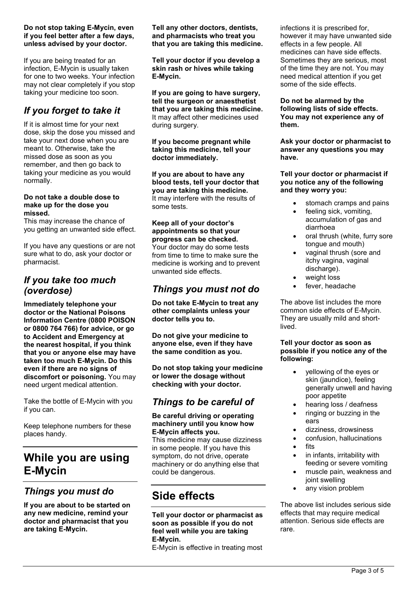#### **Do not stop taking E-Mycin, even if you feel better after a few days, unless advised by your doctor.**

If you are being treated for an infection, E-Mycin is usually taken for one to two weeks. Your infection may not clear completely if you stop taking your medicine too soon.

## *If you forget to take it*

If it is almost time for your next dose, skip the dose you missed and take your next dose when you are meant to. Otherwise, take the missed dose as soon as you remember, and then go back to taking your medicine as you would normally.

#### **Do not take a double dose to make up for the dose you missed.**

This may increase the chance of you getting an unwanted side effect.

If you have any questions or are not sure what to do, ask your doctor or pharmacist.

### *If you take too much (overdose)*

**Immediately telephone your doctor or the National Poisons Information Centre (0800 POISON or 0800 764 766) for advice, or go to Accident and Emergency at the nearest hospital, if you think that you or anyone else may have taken too much E-Mycin. Do this even if there are no signs of discomfort or poisoning.** You may need urgent medical attention.

Take the bottle of E-Mycin with you if you can.

Keep telephone numbers for these places handy.

# **While you are using E-Mycin**

### *Things you must do*

**If you are about to be started on any new medicine, remind your doctor and pharmacist that you are taking E-Mycin.**

**Tell any other doctors, dentists, and pharmacists who treat you that you are taking this medicine.**

**Tell your doctor if you develop a skin rash or hives while taking E-Mycin.**

**If you are going to have surgery, tell the surgeon or anaesthetist that you are taking this medicine.** It may affect other medicines used during surgery.

**If you become pregnant while taking this medicine, tell your doctor immediately.**

**If you are about to have any blood tests, tell your doctor that you are taking this medicine.** It may interfere with the results of some tests.

**Keep all of your doctor's appointments so that your progress can be checked.** Your doctor may do some tests from time to time to make sure the medicine is working and to prevent unwanted side effects.

### *Things you must not do*

**Do not take E-Mycin to treat any other complaints unless your doctor tells you to.**

**Do not give your medicine to anyone else, even if they have the same condition as you.**

**Do not stop taking your medicine or lower the dosage without checking with your doctor.**

## *Things to be careful of*

#### **Be careful driving or operating machinery until you know how E-Mycin affects you.**

This medicine may cause dizziness in some people. If you have this symptom, do not drive, operate machinery or do anything else that could be dangerous.

# **Side effects**

**Tell your doctor or pharmacist as soon as possible if you do not feel well while you are taking E-Mycin.**

E-Mycin is effective in treating most

infections it is prescribed for, however it may have unwanted side effects in a few people. All medicines can have side effects. Sometimes they are serious, most of the time they are not. You may need medical attention if you get some of the side effects.

**Do not be alarmed by the following lists of side effects. You may not experience any of them.**

**Ask your doctor or pharmacist to answer any questions you may have.**

**Tell your doctor or pharmacist if you notice any of the following and they worry you:**

- stomach cramps and pains
- feeling sick, vomiting, accumulation of gas and diarrhoea
- oral thrush (white, furry sore tongue and mouth)
- vaginal thrush (sore and itchy vagina, vaginal discharge).
- weight loss
- fever, headache

The above list includes the more common side effects of E-Mycin. They are usually mild and shortlived.

#### **Tell your doctor as soon as possible if you notice any of the following:**

- yellowing of the eyes or skin (jaundice), feeling generally unwell and having poor appetite
- hearing loss / deafness
- ringing or buzzing in the ears
- dizziness, drowsiness
- confusion, hallucinations
- fits
- in infants, irritability with feeding or severe vomiting
- muscle pain, weakness and joint swelling
- any vision problem

The above list includes serious side effects that may require medical attention. Serious side effects are rare.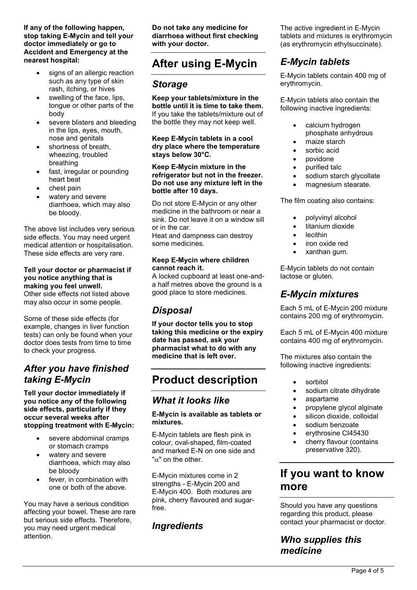**If any of the following happen, stop taking E-Mycin and tell your doctor immediately or go to Accident and Emergency at the nearest hospital:**

- signs of an allergic reaction such as any type of skin rash, itching, or hives
- swelling of the face, lips, tongue or other parts of the body
- severe blisters and bleeding in the lips, eyes, mouth, nose and genitals
- shortness of breath, wheezing, troubled breathing
- fast, irregular or pounding heart beat
- chest pain
- watery and severe diarrhoea, which may also be bloody.

The above list includes very serious side effects. You may need urgent medical attention or hospitalisation. These side effects are very rare.

#### **Tell your doctor or pharmacist if you notice anything that is making you feel unwell.**

Other side effects not listed above may also occur in some people.

Some of these side effects (for example, changes in liver function tests) can only be found when your doctor does tests from time to time to check your progress.

### *After you have finished taking E-Mycin*

**Tell your doctor immediately if you notice any of the following side effects, particularly if they occur several weeks after stopping treatment with E-Mycin:** 

- severe abdominal cramps or stomach cramps
- watery and severe diarrhoea, which may also be bloody
- fever, in combination with one or both of the above.

You may have a serious condition affecting your bowel. These are rare but serious side effects. Therefore, you may need urgent medical attention.

**Do not take any medicine for diarrhoea without first checking with your doctor.**

# **After using E-Mycin**

### *Storage*

**Keep your tablets/mixture in the bottle until it is time to take them.** If you take the tablets/mixture out of the bottle they may not keep well.

**Keep E-Mycin tablets in a cool dry place where the temperature stays below 30°C.**

#### **Keep E-Mycin mixture in the refrigerator but not in the freezer. Do not use any mixture left in the bottle after 10 days.**

Do not store E-Mycin or any other medicine in the bathroom or near a sink. Do not leave it on a window sill or in the car. Heat and dampness can destroy some medicines.

#### **Keep E-Mycin where children cannot reach it.**

A locked cupboard at least one-anda half metres above the ground is a good place to store medicines.

### *Disposal*

**If your doctor tells you to stop taking this medicine or the expiry date has passed, ask your pharmacist what to do with any medicine that is left over.**

# **Product description**

### *What it looks like*

#### **E-Mycin is available as tablets or mixtures.**

E-Mycin tablets are flesh pink in colour, oval-shaped, film-coated and marked E-N on one side and " $\alpha$ " on the other.

E-Mycin mixtures come in 2 strengths - E-Mycin 200 and E-Mycin 400. Both mixtures are pink, cherry flavoured and sugarfree.

### *Ingredients*

The active ingredient in E-Mycin tablets and mixtures is erythromycin (as erythromycin ethylsuccinate).

## *E-Mycin tablets*

E-Mycin tablets contain 400 mg of erythromycin.

E-Mycin tablets also contain the following inactive ingredients:

- calcium hydrogen phosphate anhydrous
- maize starch
- sorbic acid
- povidone
- purified talc
- sodium starch glycollate
- magnesium stearate.

The film coating also contains:

- polyvinyl alcohol
- titanium dioxide
- lecithin
- iron oxide red
- xanthan gum.

E-Mycin tablets do not contain lactose or gluten.

### *E-Mycin mixtures*

Each 5 mL of E-Mycin 200 mixture contains 200 mg of erythromycin.

Each 5 mL of E-Mycin 400 mixture contains 400 mg of erythromycin.

The mixtures also contain the following inactive ingredients:

- sorbitol
- sodium citrate dihydrate
- aspartame
- propylene glycol alginate
- silicon dioxide, colloidal
- sodium benzoate
- erythrosine CI45430
- cherry flavour (contains preservative 320).

## **If you want to know more**

Should you have any questions regarding this product, please contact your pharmacist or doctor.

### *Who supplies this medicine*